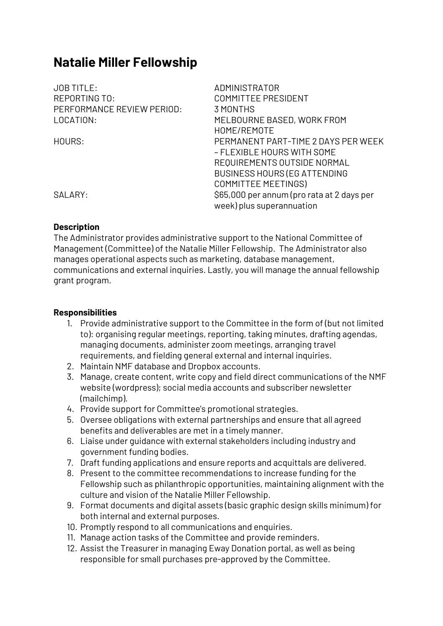# **Natalie Miller Fellowship**

| <b>JOB TITLE:</b>          | ADMINISTRATOR                              |
|----------------------------|--------------------------------------------|
| REPORTING TO:              | <b>COMMITTEE PRESIDENT</b>                 |
| PERFORMANCE REVIEW PERIOD: | 3 MONTHS                                   |
| LOCATION:                  | MELBOURNE BASED, WORK FROM                 |
|                            | HOME/REMOTE                                |
| HOURS:                     | PERMANENT PART-TIME 2 DAYS PER WEEK        |
|                            | – FLEXIBLE HOURS WITH SOME                 |
|                            | REQUIREMENTS OUTSIDE NORMAL                |
|                            | <b>BUSINESS HOURS (EG ATTENDING</b>        |
|                            | <b>COMMITTEE MEETINGS)</b>                 |
| SALARY:                    | \$65,000 per annum (pro rata at 2 days per |
|                            | week) plus superannuation                  |
|                            |                                            |

#### **Description**

The Administrator provides administrative support to the National Committee of Management (Committee) of the Natalie Miller Fellowship. The Administrator also manages operational aspects such as marketing, database management, communications and external inquiries. Lastly, you will manage the annual fellowship grant program.

#### **Responsibilities**

- 1. Provide administrative support to the Committee in the form of (but not limited to): organising regular meetings, reporting, taking minutes, drafting agendas, managing documents, administer zoom meetings, arranging travel requirements, and fielding general external and internal inquiries.
- 2. Maintain NMF database and Dropbox accounts.
- 3. Manage, create content, write copy and field direct communications of the NMF website (wordpress); social media accounts and subscriber newsletter (mailchimp).
- 4. Provide support for Committee's promotional strategies.
- 5. Oversee obligations with external partnerships and ensure that all agreed benefits and deliverables are met in a timely manner.
- 6. Liaise under guidance with external stakeholders including industry and government funding bodies.
- 7. Draft funding applications and ensure reports and acquittals are delivered.
- 8. Present to the committee recommendations to increase funding for the Fellowship such as philanthropic opportunities, maintaining alignment with the culture and vision of the Natalie Miller Fellowship.
- 9. Format documents and digital assets (basic graphic design skills minimum) for both internal and external purposes.
- 10. Promptly respond to all communications and enquiries.
- 11. Manage action tasks of the Committee and provide reminders.
- 12. Assist the Treasurer in managing Eway Donation portal, as well as being responsible for small purchases pre-approved by the Committee.